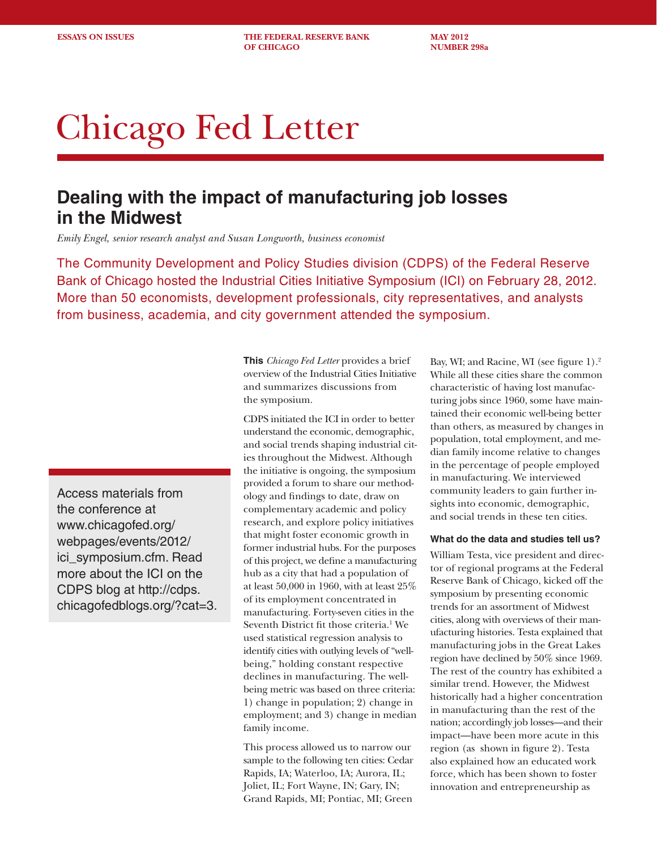**ESSAYS ON ISSUES** THE FEDERAL RESERVE BANK MAY 2012 **OF CHICAGO NUMBER 298a** 

# Chicago Fed Letter

# **Dealing with the impact of manufacturing job losses in the Midwest**

*Emily Engel, senior research analyst and Susan Longworth, business economist* 

The Community Development and Policy Studies division (CDPS) of the Federal Reserve Bank of Chicago hosted the Industrial Cities Initiative Symposium (ICI) on February 28, 2012. More than 50 economists, development professionals, city representatives, and analysts from business, academia, and city government attended the symposium.

Access materials from the conference at www.chicagofed.org/ webpages/events/2012/ ici\_symposium.cfm. Read more about the ICI on the CDPS blog at http://cdps. chicagofedblogs.org/?cat=3. **This** *Chicago Fed Letter* provides a brief overview of the Industrial Cities Initiative and summarizes discussions from the symposium.

CDPS initiated the ICI in order to better understand the economic, demographic, and social trends shaping industrial cities throughout the Midwest. Although the initiative is ongoing, the symposium provided a forum to share our methodology and findings to date, draw on complementary academic and policy research, and explore policy initiatives that might foster economic growth in former industrial hubs. For the purposes of this project, we define a manufacturing hub as a city that had a population of at least 50,000 in 1960, with at least 25% of its employment concentrated in manufacturing. Forty-seven cities in the Seventh District fit those criteria.<sup>1</sup> We used statistical regression analysis to identify cities with outlying levels of "wellbeing," holding constant respective declines in manufacturing. The wellbeing metric was based on three criteria: 1) change in population; 2) change in employment; and 3) change in median family income.

This process allowed us to narrow our sample to the following ten cities: Cedar Rapids, IA; Waterloo, IA; Aurora, IL; Joliet, IL; Fort Wayne, IN; Gary, IN; Grand Rapids, MI; Pontiac, MI; Green

Bay, WI; and Racine, WI (see figure 1).2 While all these cities share the common characteristic of having lost manufacturing jobs since 1960, some have maintained their economic well-being better than others, as measured by changes in population, total employment, and median family income relative to changes in the percentage of people employed in manufacturing. We interviewed community leaders to gain further insights into economic, demographic, and social trends in these ten cities.

#### **What do the data and studies tell us?**

William Testa, vice president and director of regional programs at the Federal Reserve Bank of Chicago, kicked off the symposium by presenting economic trends for an assortment of Midwest cities, along with overviews of their manufacturing histories. Testa explained that manufacturing jobs in the Great Lakes region have declined by 50% since 1969. The rest of the country has exhibited a similar trend. However, the Midwest historically had a higher concentration in manufacturing than the rest of the nation; accordingly job losses—and their impact—have been more acute in this region (as shown in figure 2). Testa also explained how an educated work force, which has been shown to foster innovation and entrepreneurship as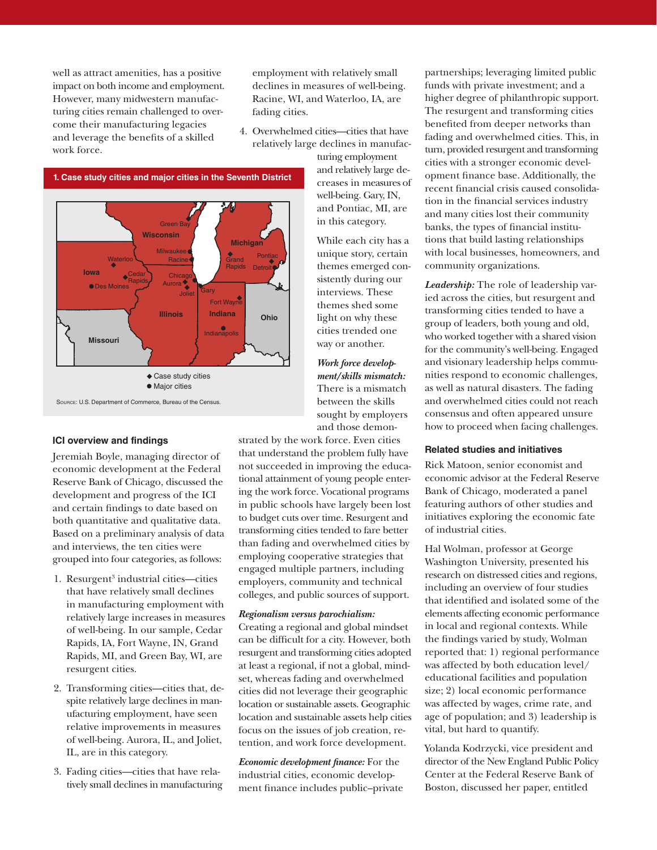well as attract amenities, has a positive impact on both income and employment. However, many midwestern manufacturing cities remain challenged to overcome their manufacturing legacies and leverage the benefits of a skilled work force.

employment with relatively small declines in measures of well-being. Racine, WI, and Waterloo, IA, are fading cities.

4. Overwhelmed cities—cities that have relatively large declines in manufac-

> turing employment and relatively large decreases in measures of well-being. Gary, IN, and Pontiac, MI, are in this category.

While each city has a unique story, certain themes emerged consistently during our interviews. These themes shed some light on why these cities trended one way or another.

*Work force development/skills mismatch:*  There is a mismatch between the skills sought by employers and those demon-

strated by the work force. Even cities that understand the problem fully have not succeeded in improving the educational attainment of young people entering the work force. Vocational programs in public schools have largely been lost to budget cuts over time. Resurgent and transforming cities tended to fare better than fading and overwhelmed cities by employing cooperative strategies that engaged multiple partners, including employers, community and technical

colleges, and public sources of support.

#### *Regionalism versus parochialism:*

Creating a regional and global mindset can be difficult for a city. However, both resurgent and transforming cities adopted at least a regional, if not a global, mindset, whereas fading and overwhelmed cities did not leverage their geographic location or sustainable assets. Geographic location and sustainable assets help cities focus on the issues of job creation, retention, and work force development.

*Economic development finance:* For the industrial cities, economic development finance includes public–private partnerships; leveraging limited public funds with private investment; and a higher degree of philanthropic support. The resurgent and transforming cities benefited from deeper networks than fading and overwhelmed cities. This, in turn, provided resurgent and transforming cities with a stronger economic development finance base. Additionally, the recent financial crisis caused consolidation in the financial services industry and many cities lost their community banks, the types of financial institutions that build lasting relationships with local businesses, homeowners, and community organizations.

*Leadership:* The role of leadership varied across the cities, but resurgent and transforming cities tended to have a group of leaders, both young and old, who worked together with a shared vision for the community's well-being. Engaged and visionary leadership helps communities respond to economic challenges, as well as natural disasters. The fading and overwhelmed cities could not reach consensus and often appeared unsure how to proceed when facing challenges.

## **Related studies and initiatives**

Rick Matoon, senior economist and economic advisor at the Federal Reserve Bank of Chicago, moderated a panel featuring authors of other studies and initiatives exploring the economic fate of industrial cities.

Hal Wolman, professor at George Washington University, presented his research on distressed cities and regions, including an overview of four studies that identified and isolated some of the elements affecting economic performance in local and regional contexts. While the findings varied by study, Wolman reported that: 1) regional performance was affected by both education level/ educational facilities and population size; 2) local economic performance was affected by wages, crime rate, and age of population; and 3) leadership is vital, but hard to quantify.

Yolanda Kodrzycki, vice president and director of the New England Public Policy Center at the Federal Reserve Bank of Boston, discussed her paper, entitled

# **ICI overview and findings**

Jeremiah Boyle, managing director of economic development at the Federal Reserve Bank of Chicago, discussed the development and progress of the ICI and certain findings to date based on both quantitative and qualitative data. Based on a preliminary analysis of data and interviews, the ten cities were grouped into four categories, as follows:

- 1. Resurgent<sup>3</sup> industrial cities—cities that have relatively small declines in manufacturing employment with relatively large increases in measures of well-being. In our sample, Cedar Rapids, IA, Fort Wayne, IN, Grand Rapids, MI, and Green Bay, WI, are resurgent cities.
- 2. Transforming cities—cities that, despite relatively large declines in manufacturing employment, have seen relative improvements in measures of well-being. Aurora, IL, and Joliet, IL, are in this category.
- 3. Fading cities—cities that have relatively small declines in manufacturing



Source: U.S. Department of Commerce, Bureau of the Census. Case study cities  $\bullet$  Major cities



**1. Case study cities and major cities in the Seventh District**

Green Ba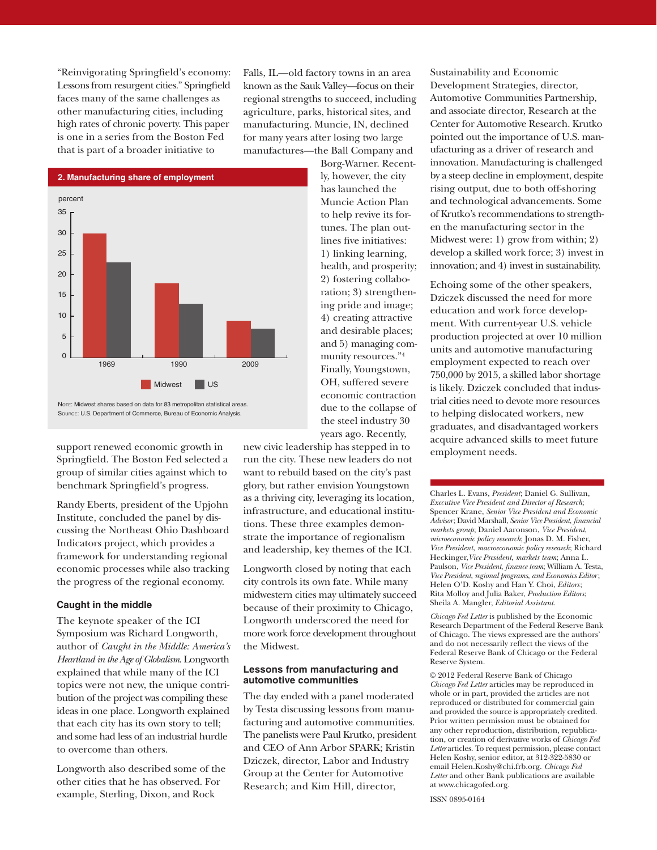"Reinvigorating Springfield's economy: Lessons from resurgent cities." Springfield faces many of the same challenges as other manufacturing cities, including high rates of chronic poverty. This paper is one in a series from the Boston Fed that is part of a broader initiative to

Falls, IL—old factory towns in an area known as the Sauk Valley—focus on their regional strengths to succeed, including agriculture, parks, historical sites, and manufacturing. Muncie, IN, declined for many years after losing two large manufactures—the Ball Company and

> Borg-Warner. Recently, however, the city has launched the Muncie Action Plan to help revive its fortunes. The plan outlines five initiatives: 1) linking learning, health, and prosperity; 2) fostering collaboration; 3) strengthening pride and image; 4) creating attractive and desirable places; and 5) managing community resources."4 Finally, Youngstown, OH, suffered severe economic contraction due to the collapse of the steel industry 30



Note: Midwest shares based on data for 83 metropolitan statistical areas. Source: U.S. Department of Commerce, Bureau of Economic Analysis.

support renewed economic growth in Springfield. The Boston Fed selected a group of similar cities against which to benchmark Springfield's progress.

Randy Eberts, president of the Upjohn Institute, concluded the panel by discussing the Northeast Ohio Dashboard Indicators project, which provides a framework for understanding regional economic processes while also tracking the progress of the regional economy.

## **Caught in the middle**

The keynote speaker of the ICI Symposium was Richard Longworth, author of *Caught in the Middle: America's Heartland in the Age of Globalism*. Longworth explained that while many of the ICI topics were not new, the unique contribution of the project was compiling these ideas in one place. Longworth explained that each city has its own story to tell; and some had less of an industrial hurdle to overcome than others.

Longworth also described some of the other cities that he has observed. For example, Sterling, Dixon, and Rock

years ago. Recently, new civic leadership has stepped in to run the city. These new leaders do not want to rebuild based on the city's past glory, but rather envision Youngstown as a thriving city, leveraging its location, infrastructure, and educational institutions. These three examples demonstrate the importance of regionalism and leadership, key themes of the ICI.

Longworth closed by noting that each city controls its own fate. While many midwestern cities may ultimately succeed because of their proximity to Chicago, Longworth underscored the need for more work force development throughout the Midwest.

#### **Lessons from manufacturing and automotive communities**

The day ended with a panel moderated by Testa discussing lessons from manufacturing and automotive communities. The panelists were Paul Krutko, president and CEO of Ann Arbor SPARK; Kristin Dziczek, director, Labor and Industry Group at the Center for Automotive Research; and Kim Hill, director,

Sustainability and Economic Development Strategies, director, Automotive Communities Partnership, and associate director, Research at the Center for Automotive Research. Krutko pointed out the importance of U.S. manufacturing as a driver of research and innovation. Manufacturing is challenged by a steep decline in employment, despite rising output, due to both off-shoring and technological advancements. Some of Krutko's recommendations to strengthen the manufacturing sector in the Midwest were: 1) grow from within; 2) develop a skilled work force; 3) invest in innovation; and 4) invest in sustainability.

Echoing some of the other speakers, Dziczek discussed the need for more education and work force development. With current-year U.S. vehicle production projected at over 10 million units and automotive manufacturing employment expected to reach over 750,000 by 2015, a skilled labor shortage is likely. Dziczek concluded that industrial cities need to devote more resources to helping dislocated workers, new graduates, and disadvantaged workers acquire advanced skills to meet future employment needs.

Charles L. Evans, *President*; Daniel G. Sullivan, *Executive Vice President and Director of Research*; Spencer Krane, *Senior Vice President and Economic Advisor*; David Marshall, *Senior Vice President*, *financial markets group*; Daniel Aaronson, *Vice President*, *microeconomic policy research*; Jonas D. M. Fisher, *Vice President*, *macroeconomic policy research*; Richard Heckinger,*Vice President*, *markets team*; Anna L. Paulson, *Vice President*, *finance team*; William A. Testa, *Vice President*, *regional programs*, *and Economics Editor*; Helen O'D. Koshy and Han Y. Choi, *Editors* ; Rita Molloy and Julia Baker, *Production Editors*; Sheila A. Mangler, *Editorial Assistant.* 

*Chicago Fed Letter* is published by the Economic Research Department of the Federal Reserve Bank of Chicago. The views expressed are the authors' and do not necessarily reflect the views of the Federal Reserve Bank of Chicago or the Federal Reserve System.

© 2012 Federal Reserve Bank of Chicago *Chicago Fed Letter* articles may be reproduced in whole or in part, provided the articles are not reproduced or distributed for commercial gain and provided the source is appropriately credited. Prior written permission must be obtained for any other reproduction, distribution, republication, or creation of derivative works of *Chicago Fed Letter* articles. To request permission, please contact Helen Koshy, senior editor, at 312-322-5830 or email Helen.Koshy@chi.frb.org. *Chicago Fed Letter* and other Bank publications are available at www.chicagofed.org.

ISSN 0895-0164